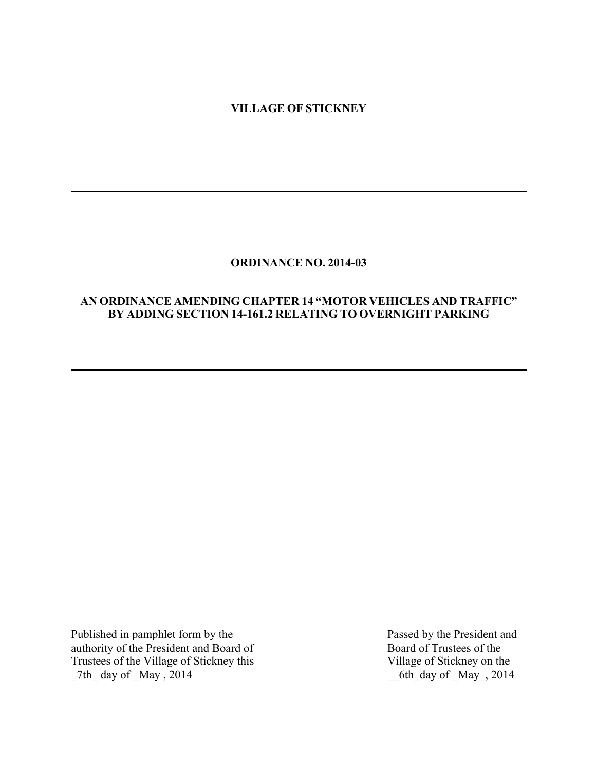# **VILLAGE OF STICKNEY**

**\_\_\_\_\_\_\_\_\_\_\_\_\_\_\_\_\_\_\_\_\_\_\_\_\_\_\_\_\_\_\_\_\_\_\_\_\_\_\_\_\_\_\_\_\_\_\_\_\_\_\_\_\_\_\_\_\_\_\_\_\_\_\_\_\_\_\_\_\_\_\_\_\_\_\_\_\_\_**

## **ORDINANCE NO. 2014-03**

## **AN ORDINANCE AMENDING CHAPTER 14 "MOTOR VEHICLES AND TRAFFIC" BY ADDING SECTION 14-161.2 RELATING TO OVERNIGHT PARKING**

**\_\_\_\_\_\_\_\_\_\_\_\_\_\_\_\_\_\_\_\_\_\_\_\_\_\_\_\_\_\_\_\_\_\_\_\_\_\_\_\_\_\_\_\_\_\_\_\_\_\_\_\_\_\_\_\_\_\_\_\_\_\_\_\_\_\_\_\_\_\_\_\_\_\_\_\_\_\_**

Published in pamphlet form by the authority of the President and Board of Trustees of the Village of Stickney this  $\frac{7th}{10}$  day of  $\frac{May}{x}$ , 2014

Passed by the President and Board of Trustees of the Village of Stickney on the  $6th$  day of  $May$ , 2014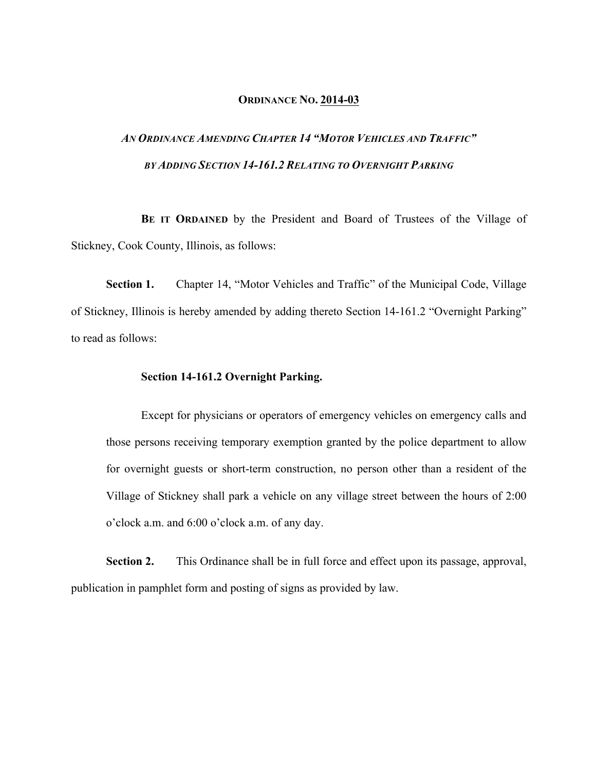#### **ORDINANCE NO. 2014-03**

# *AN ORDINANCE AMENDING CHAPTER 14 "MOTOR VEHICLES AND TRAFFIC" BY ADDING SECTION 14-161.2 RELATING TO OVERNIGHT PARKING*

**BE IT ORDAINED** by the President and Board of Trustees of the Village of Stickney, Cook County, Illinois, as follows:

**Section 1.** Chapter 14, "Motor Vehicles and Traffic" of the Municipal Code, Village of Stickney, Illinois is hereby amended by adding thereto Section 14-161.2 "Overnight Parking" to read as follows:

### **Section 14-161.2 Overnight Parking.**

Except for physicians or operators of emergency vehicles on emergency calls and those persons receiving temporary exemption granted by the police department to allow for overnight guests or short-term construction, no person other than a resident of the Village of Stickney shall park a vehicle on any village street between the hours of 2:00 o'clock a.m. and 6:00 o'clock a.m. of any day.

**Section 2.** This Ordinance shall be in full force and effect upon its passage, approval, publication in pamphlet form and posting of signs as provided by law.